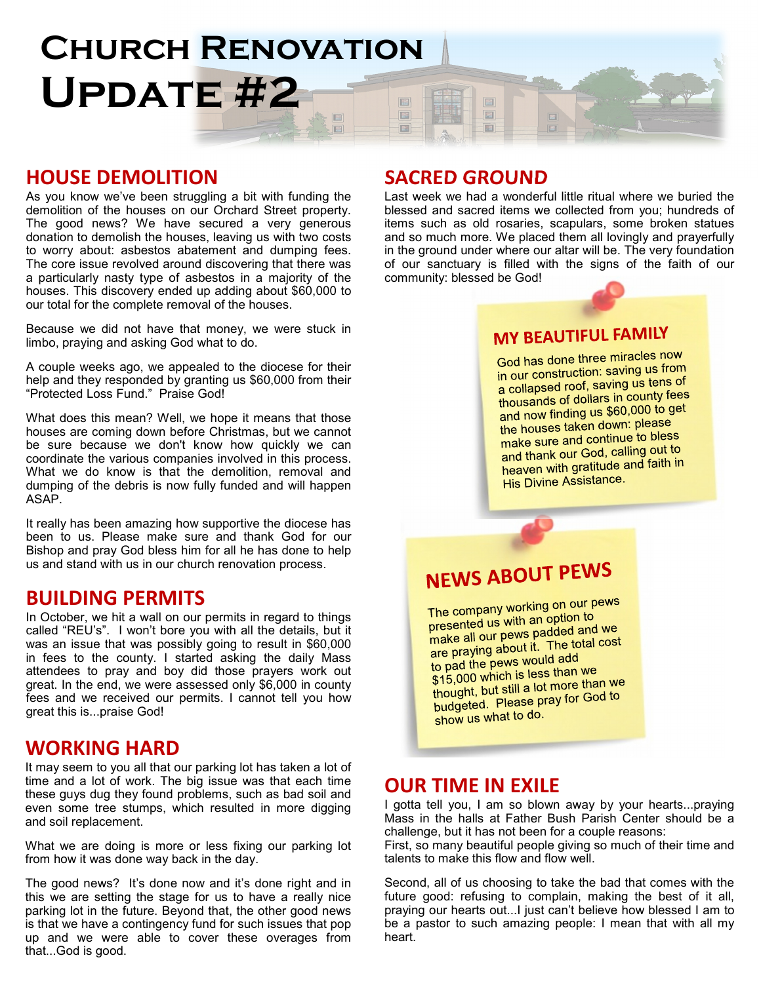#### **CHURCH RENOVATION** Update #2 FE E E 国  $\Box$ 圖 圖

### HOUSE DEMOLITION

As you know we've been struggling a bit with funding the demolition of the houses on our Orchard Street property. The good news? We have secured a very generous donation to demolish the houses, leaving us with two costs to worry about: asbestos abatement and dumping fees. The core issue revolved around discovering that there was a particularly nasty type of asbestos in a majority of the houses. This discovery ended up adding about \$60,000 to our total for the complete removal of the houses.

Because we did not have that money, we were stuck in limbo, praying and asking God what to do.

A couple weeks ago, we appealed to the diocese for their help and they responded by granting us \$60,000 from their "Protected Loss Fund." Praise God!

What does this mean? Well, we hope it means that those houses are coming down before Christmas, but we cannot be sure because we don't know how quickly we can coordinate the various companies involved in this process. What we do know is that the demolition, removal and dumping of the debris is now fully funded and will happen ASAP.

It really has been amazing how supportive the diocese has been to us. Please make sure and thank God for our Bishop and pray God bless him for all he has done to help us and stand with us in our church renovation process.

### BUILDING PERMITS

In October, we hit a wall on our permits in regard to things called "REU's". I won't bore you with all the details, but it was an issue that was possibly going to result in \$60,000 in fees to the county. I started asking the daily Mass attendees to pray and boy did those prayers work out great. In the end, we were assessed only \$6,000 in county fees and we received our permits. I cannot tell you how great this is...praise God!

### WORKING HARD

It may seem to you all that our parking lot has taken a lot of time and a lot of work. The big issue was that each time these guys dug they found problems, such as bad soil and even some tree stumps, which resulted in more digging and soil replacement.

What we are doing is more or less fixing our parking lot from how it was done way back in the day.

The good news? It's done now and it's done right and in this we are setting the stage for us to have a really nice parking lot in the future. Beyond that, the other good news is that we have a contingency fund for such issues that pop up and we were able to cover these overages from that...God is good.

### SACRED GROUND

Last week we had a wonderful little ritual where we buried the blessed and sacred items we collected from you; hundreds of items such as old rosaries, scapulars, some broken statues and so much more. We placed them all lovingly and prayerfully in the ground under where our altar will be. The very foundation of our sanctuary is filled with the signs of the faith of our community: blessed be God!

### **MY BEAUTIFUL FAMILY**

God has done three miracles now God has done the company in our construction. saving as tens of<br>a collapsed roof, saving us tens of a collapsed roor, saving as terms<br>thousands of dollars in county fees thousands of dollars in county foot<br>and now finding us \$60,000 to get and now finality as \$60,000 to 5<br>the houses taken down: please the houses taken down, promote<br>make sure and continue to bless make sure and community of the<br>and thank our God, calling out to and thank our God, canny one<br>heaven with gratitude and faith in His Divine Assistance.

## **NEWS ABOUT PEWS**

The company working on our pews The company working on the r<br>presented us with an option to presented us with an option to<br>make all our pews padded and we<br>The total cost make all our pews padded and no<br>are praying about it. The total cost are praying about it. The re<br>to pad the pews would add to pad the pews would do to pad the pews would do to pay we \$15,000 which is less than we<br>thought, but still a lot more than we thought, but still a lot more and<br>budgeted. Please pray for God to show us what to do.

### OUR TIME IN EXILE

I gotta tell you, I am so blown away by your hearts...praying Mass in the halls at Father Bush Parish Center should be a challenge, but it has not been for a couple reasons:

First, so many beautiful people giving so much of their time and talents to make this flow and flow well.

Second, all of us choosing to take the bad that comes with the future good: refusing to complain, making the best of it all, praying our hearts out...I just can't believe how blessed I am to be a pastor to such amazing people: I mean that with all my heart.